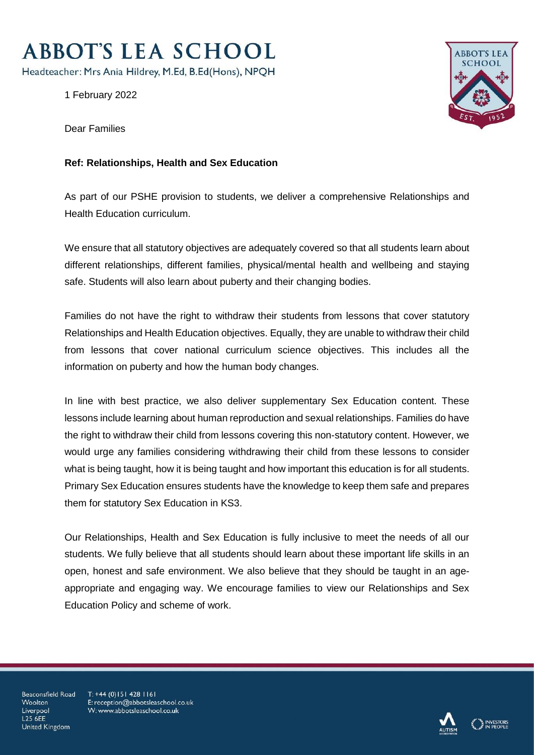## **ABBOT'S LEA SCHOOL**

Headteacher: Mrs Ania Hildrey, M.Ed, B.Ed(Hons), NPQH

1 February 2022



Dear Families

## **Ref: Relationships, Health and Sex Education**

As part of our PSHE provision to students, we deliver a comprehensive Relationships and Health Education curriculum.

We ensure that all statutory objectives are adequately covered so that all students learn about different relationships, different families, physical/mental health and wellbeing and staying safe. Students will also learn about puberty and their changing bodies.

Families do not have the right to withdraw their students from lessons that cover statutory Relationships and Health Education objectives. Equally, they are unable to withdraw their child from lessons that cover national curriculum science objectives. This includes all the information on puberty and how the human body changes.

In line with best practice, we also deliver supplementary Sex Education content. These lessons include learning about human reproduction and sexual relationships. Families do have the right to withdraw their child from lessons covering this non-statutory content. However, we would urge any families considering withdrawing their child from these lessons to consider what is being taught, how it is being taught and how important this education is for all students. Primary Sex Education ensures students have the knowledge to keep them safe and prepares them for statutory Sex Education in KS3.

Our Relationships, Health and Sex Education is fully inclusive to meet the needs of all our students. We fully believe that all students should learn about these important life skills in an open, honest and safe environment. We also believe that they should be taught in an ageappropriate and engaging way. We encourage families to view our Relationships and Sex Education Policy and scheme of work.

Beaconsfield Road Woolton Liverpool **L25 6FF** United Kingdom

 $T: +44(0)1514281161$ E: reception@abbotsleaschool.co.uk W: www.abbotsleaschool.co.uk